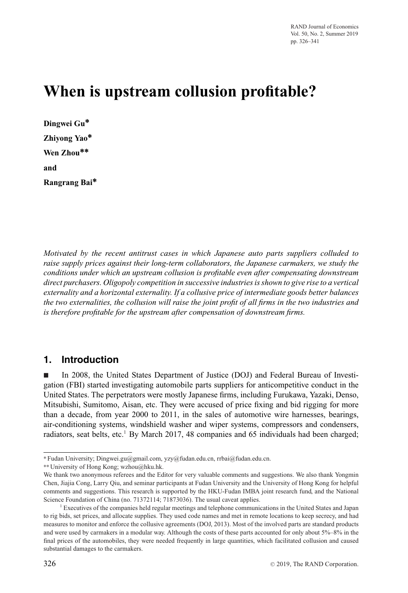# **When is upstream collusion profitable?**

| Dingwei Gu*   |
|---------------|
| Zhiyong Yao*  |
| Wen Zhou**    |
| and           |
| Rangrang Bai* |

*Motivated by the recent antitrust cases in which Japanese auto parts suppliers colluded to raise supply prices against their long-term collaborators, the Japanese carmakers, we study the conditions under which an upstream collusion is profitable even after compensating downstream direct purchasers. Oligopoly competition in successive industries is shown to give rise to a vertical externality and a horizontal externality. If a collusive price of intermediate goods better balances the two externalities, the collusion will raise the joint profit of all firms in the two industries and is therefore profitable for the upstream after compensation of downstream firms.*

## **1. Introduction**

- In 2008, the United States Department of Justice (DOJ) and Federal Bureau of Investigation (FBI) started investigating automobile parts suppliers for anticompetitive conduct in the United States. The perpetrators were mostly Japanese firms, including Furukawa, Yazaki, Denso, Mitsubishi, Sumitomo, Aisan, etc. They were accused of price fixing and bid rigging for more than a decade, from year 2000 to 2011, in the sales of automotive wire harnesses, bearings, air-conditioning systems, windshield washer and wiper systems, compressors and condensers, radiators, seat belts, etc.<sup>1</sup> By March 2017, 48 companies and 65 individuals had been charged;

<sup>∗</sup> Fudan University; Dingwei.gu@gmail.com, yzy@fudan.edu.cn, rrbai@fudan.edu.cn.

<sup>∗∗</sup>University of Hong Kong; wzhou@hku.hk.

We thank two anonymous referees and the Editor for very valuable comments and suggestions. We also thank Yongmin Chen, Jiajia Cong, Larry Qiu, and seminar participants at Fudan University and the University of Hong Kong for helpful comments and suggestions. This research is supported by the HKU-Fudan IMBA joint research fund, and the National Science Foundation of China (no. 71372114; 71873036). The usual caveat applies.

<sup>1</sup> Executives of the companies held regular meetings and telephone communications in the United States and Japan to rig bids, set prices, and allocate supplies. They used code names and met in remote locations to keep secrecy, and had measures to monitor and enforce the collusive agreements (DOJ, 2013). Most of the involved parts are standard products and were used by carmakers in a modular way. Although the costs of these parts accounted for only about 5%–8% in the final prices of the automobiles, they were needed frequently in large quantities, which facilitated collusion and caused substantial damages to the carmakers.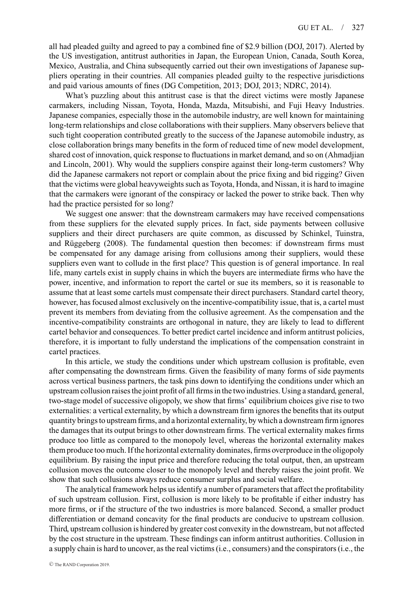all had pleaded guilty and agreed to pay a combined fine of \$2.9 billion (DOJ, 2017). Alerted by the US investigation, antitrust authorities in Japan, the European Union, Canada, South Korea, Mexico, Australia, and China subsequently carried out their own investigations of Japanese suppliers operating in their countries. All companies pleaded guilty to the respective jurisdictions and paid various amounts of fines (DG Competition, 2013; DOJ, 2013; NDRC, 2014).

What's puzzling about this antitrust case is that the direct victims were mostly Japanese carmakers, including Nissan, Toyota, Honda, Mazda, Mitsubishi, and Fuji Heavy Industries. Japanese companies, especially those in the automobile industry, are well known for maintaining long-term relationships and close collaborations with their suppliers. Many observers believe that such tight cooperation contributed greatly to the success of the Japanese automobile industry, as close collaboration brings many benefits in the form of reduced time of new model development, shared cost of innovation, quick response to fluctuations in market demand, and so on (Ahmadjian and Lincoln, 2001). Why would the suppliers conspire against their long-term customers? Why did the Japanese carmakers not report or complain about the price fixing and bid rigging? Given that the victims were global heavyweights such as Toyota, Honda, and Nissan, it is hard to imagine that the carmakers were ignorant of the conspiracy or lacked the power to strike back. Then why had the practice persisted for so long?

We suggest one answer: that the downstream carmakers may have received compensations from these suppliers for the elevated supply prices. In fact, side payments between collusive suppliers and their direct purchasers are quite common, as discussed by Schinkel, Tuinstra, and Rüggeberg (2008). The fundamental question then becomes: if downstream firms must be compensated for any damage arising from collusions among their suppliers, would these suppliers even want to collude in the first place? This question is of general importance. In real life, many cartels exist in supply chains in which the buyers are intermediate firms who have the power, incentive, and information to report the cartel or sue its members, so it is reasonable to assume that at least some cartels must compensate their direct purchasers. Standard cartel theory, however, has focused almost exclusively on the incentive-compatibility issue, that is, a cartel must prevent its members from deviating from the collusive agreement. As the compensation and the incentive-compatibility constraints are orthogonal in nature, they are likely to lead to different cartel behavior and consequences. To better predict cartel incidence and inform antitrust policies, therefore, it is important to fully understand the implications of the compensation constraint in cartel practices.

In this article, we study the conditions under which upstream collusion is profitable, even after compensating the downstream firms. Given the feasibility of many forms of side payments across vertical business partners, the task pins down to identifying the conditions under which an upstream collusion raises the joint profit of all firms in the two industries. Using a standard, general, two-stage model of successive oligopoly, we show that firms' equilibrium choices give rise to two externalities: a vertical externality, by which a downstream firm ignores the benefits that its output quantity brings to upstream firms, and a horizontal externality, by which a downstream firm ignores the damages that its output brings to other downstream firms. The vertical externality makes firms produce too little as compared to the monopoly level, whereas the horizontal externality makes them produce too much. If the horizontal externality dominates, firms overproduce in the oligopoly equilibrium. By raising the input price and therefore reducing the total output, then, an upstream collusion moves the outcome closer to the monopoly level and thereby raises the joint profit. We show that such collusions always reduce consumer surplus and social welfare.

The analytical framework helps us identify a number of parameters that affect the profitability of such upstream collusion. First, collusion is more likely to be profitable if either industry has more firms, or if the structure of the two industries is more balanced. Second, a smaller product differentiation or demand concavity for the final products are conducive to upstream collusion. Third, upstream collusion is hindered by greater cost convexity in the downstream, but not affected by the cost structure in the upstream. These findings can inform antitrust authorities. Collusion in a supply chain is hard to uncover, as the real victims (i.e., consumers) and the conspirators (i.e., the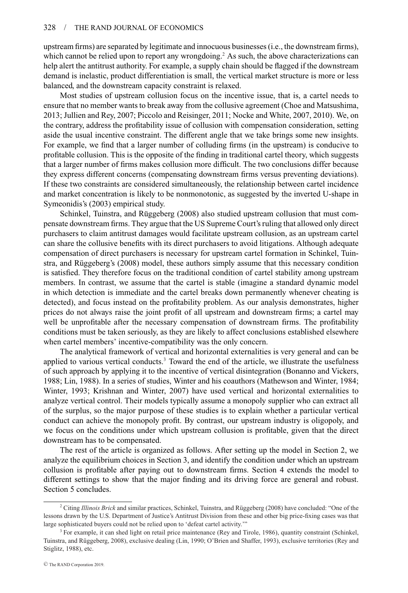upstream firms) are separated by legitimate and innocuous businesses (i.e., the downstream firms), which cannot be relied upon to report any wrongdoing.<sup>2</sup> As such, the above characterizations can help alert the antitrust authority. For example, a supply chain should be flagged if the downstream demand is inelastic, product differentiation is small, the vertical market structure is more or less balanced, and the downstream capacity constraint is relaxed.

Most studies of upstream collusion focus on the incentive issue, that is, a cartel needs to ensure that no member wants to break away from the collusive agreement (Choe and Matsushima, 2013; Jullien and Rey, 2007; Piccolo and Reisinger, 2011; Nocke and White, 2007, 2010). We, on the contrary, address the profitability issue of collusion with compensation consideration, setting aside the usual incentive constraint. The different angle that we take brings some new insights. For example, we find that a larger number of colluding firms (in the upstream) is conducive to profitable collusion. This is the opposite of the finding in traditional cartel theory, which suggests that a larger number of firms makes collusion more difficult. The two conclusions differ because they express different concerns (compensating downstream firms versus preventing deviations). If these two constraints are considered simultaneously, the relationship between cartel incidence and market concentration is likely to be nonmonotonic, as suggested by the inverted U-shape in Symeonidis's (2003) empirical study.

Schinkel, Tuinstra, and Rüggeberg (2008) also studied upstream collusion that must compensate downstream firms. They argue that the US Supreme Court's ruling that allowed only direct purchasers to claim antitrust damages would facilitate upstream collusion, as an upstream cartel can share the collusive benefits with its direct purchasers to avoid litigations. Although adequate compensation of direct purchasers is necessary for upstream cartel formation in Schinkel, Tuinstra, and Rüggeberg's (2008) model, these authors simply assume that this necessary condition is satisfied. They therefore focus on the traditional condition of cartel stability among upstream members. In contrast, we assume that the cartel is stable (imagine a standard dynamic model in which detection is immediate and the cartel breaks down permanently whenever cheating is detected), and focus instead on the profitability problem. As our analysis demonstrates, higher prices do not always raise the joint profit of all upstream and downstream firms; a cartel may well be unprofitable after the necessary compensation of downstream firms. The profitability conditions must be taken seriously, as they are likely to affect conclusions established elsewhere when cartel members' incentive-compatibility was the only concern.

The analytical framework of vertical and horizontal externalities is very general and can be applied to various vertical conducts. $3$  Toward the end of the article, we illustrate the usefulness of such approach by applying it to the incentive of vertical disintegration (Bonanno and Vickers, 1988; Lin, 1988). In a series of studies, Winter and his coauthors (Mathewson and Winter, 1984; Winter, 1993; Krishnan and Winter, 2007) have used vertical and horizontal externalities to analyze vertical control. Their models typically assume a monopoly supplier who can extract all of the surplus, so the major purpose of these studies is to explain whether a particular vertical conduct can achieve the monopoly profit. By contrast, our upstream industry is oligopoly, and we focus on the conditions under which upstream collusion is profitable, given that the direct downstream has to be compensated.

The rest of the article is organized as follows. After setting up the model in Section 2, we analyze the equilibrium choices in Section 3, and identify the condition under which an upstream collusion is profitable after paying out to downstream firms. Section 4 extends the model to different settings to show that the major finding and its driving force are general and robust. Section 5 concludes.

<sup>&</sup>lt;sup>2</sup> Citing *Illinois Brick* and similar practices, Schinkel, Tuinstra, and Rüggeberg (2008) have concluded: "One of the lessons drawn by the U.S. Department of Justice's Antitrust Division from these and other big price-fixing cases was that large sophisticated buyers could not be relied upon to 'defeat cartel activity.'"

<sup>&</sup>lt;sup>3</sup> For example, it can shed light on retail price maintenance (Rey and Tirole, 1986), quantity constraint (Schinkel, Tuinstra, and Ruggeberg, 2008), exclusive dealing (Lin, 1990; O'Brien and Shaffer, 1993), exclusive territories (Rey and ¨ Stiglitz, 1988), etc.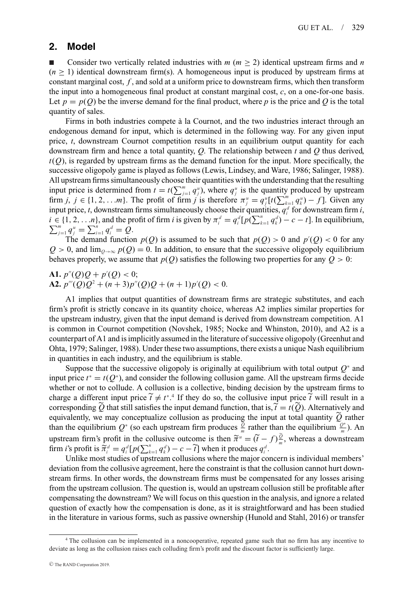### **2. Model**

-Consider two vertically related industries with  $m (m \geq 2)$  identical upstream firms and *n*  $(n \geq 1)$  identical downstream firm(s). A homogeneous input is produced by upstream firms at constant marginal cost, *f* , and sold at a uniform price to downstream firms, which then transform the input into a homogeneous final product at constant marginal cost, *c*, on a one-for-one basis. Let  $p = p(Q)$  be the inverse demand for the final product, where p is the price and Q is the total quantity of sales.

Firms in both industries compete à la Cournot, and the two industries interact through an endogenous demand for input, which is determined in the following way. For any given input price, *t*, downstream Cournot competition results in an equilibrium output quantity for each downstream firm and hence a total quantity, *Q*. The relationship between *t* and *Q* thus derived,  $t(Q)$ , is regarded by upstream firms as the demand function for the input. More specifically, the successive oligopoly game is played as follows (Lewis, Lindsey, and Ware, 1986; Salinger, 1988). All upstream firms simultaneously choose their quantities with the understanding that the resulting input price is determined from  $t = t(\sum_{j=1}^m q_j^u)$ , where  $q_j^u$  is the quantity produced by upstream firm *j*,  $j \in \{1, 2, \ldots, m\}$ . The profit of firm *j* is therefore  $\pi_i^u = q_i^u[t(\sum_{k=1}^m q_k^u) - f]$ . Given any input price, *t*, downstream firms simultaneously choose their quantities,  $q_i^d$  for downstream firm *i*,  $i \in \{1, 2, \ldots n\}$ , and the profit of firm *i* is given by  $\pi_i^d = q_i^d [p(\sum_{k=1}^n q_k^d) - c - t]$ . In equilibrium,  $\sum_{i=1}^m q_i^d = \sum_{i=1}^n q_i^d = O$ .  $\sum_{j=1}^{m} q_j^u = \sum_{i=1}^{n} q_i^d = Q.$ 

The demand function  $p(Q)$  is assumed to be such that  $p(Q) > 0$  and  $p'(Q) < 0$  for any  $Q > 0$ , and  $\lim_{Q \to \infty} p(Q) = 0$ . In addition, to ensure that the successive oligopoly equilibrium behaves properly, we assume that  $p(Q)$  satisfies the following two properties for any  $Q > 0$ :

**A1.**  $p''(Q)Q + p'(Q) < 0;$ **A2.**  $p'''(Q)Q^2 + (n+3)p''(Q)Q + (n+1)p'(Q) < 0.$ 

A1 implies that output quantities of downstream firms are strategic substitutes, and each firm's profit is strictly concave in its quantity choice, whereas A2 implies similar properties for the upstream industry, given that the input demand is derived from downstream competition. A1 is common in Cournot competition (Novshek, 1985; Nocke and Whinston, 2010), and A2 is a counterpart of A1 and is implicitly assumed in the literature of successive oligopoly (Greenhut and Ohta, 1979; Salinger, 1988). Under these two assumptions, there exists a unique Nash equilibrium in quantities in each industry, and the equilibrium is stable.

Suppose that the successive oligopoly is originally at equilibrium with total output *Q*<sup>∗</sup> and input price  $t^* = t(Q^*)$ , and consider the following collusion game. All the upstream firms decide whether or not to collude. A collusion is a collective, binding decision by the upstream firms to charge a different input price  $\tilde{t} \neq t^*$ .<sup>4</sup> If they do so, the collusive input price  $\tilde{t}$  will result in a corresponding  $\widetilde{Q}$  that still satisfies the input demand function, that is,  $\widetilde{t} = t(\widetilde{Q})$ . Alternatively and equivalently, we may conceptualize collusion as producing the input at total quantity  $\hat{Q}$  rather than the equilibrium  $Q^*$  (so each upstream firm produces  $\frac{\tilde{Q}}{m}$  rather than the equilibrium  $\frac{Q^*}{m}$ ). An upstream firm's profit in the collusive outcome is then  $\tilde{\pi}^u = (\tilde{t} - f)\frac{\partial}{\partial x}$ , whereas a downstream firm *i*'s profit is  $\tilde{\pi}_i^d = q_i^d [p(\sum_{k=1}^n q_k^d) - c - \tilde{t}]$  when it produces  $q_i^d$ .

Unlike most studies of upstream collusions where the major concern is individual members' deviation from the collusive agreement, here the constraint is that the collusion cannot hurt downstream firms. In other words, the downstream firms must be compensated for any losses arising from the upstream collusion. The question is, would an upstream collusion still be profitable after compensating the downstream? We will focus on this question in the analysis, and ignore a related question of exactly how the compensation is done, as it is straightforward and has been studied in the literature in various forms, such as passive ownership (Hunold and Stahl, 2016) or transfer

<sup>4</sup> The collusion can be implemented in a noncooperative, repeated game such that no firm has any incentive to deviate as long as the collusion raises each colluding firm's profit and the discount factor is sufficiently large.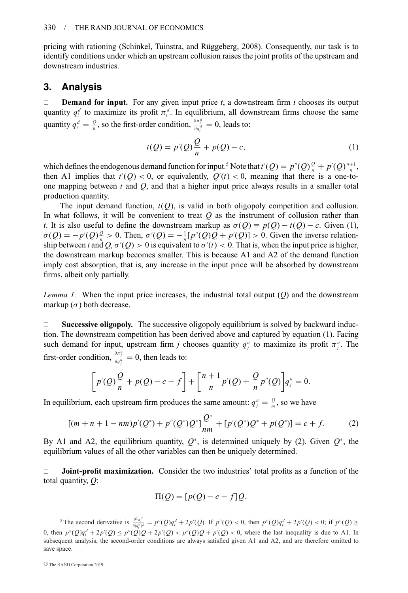pricing with rationing (Schinkel, Tuinstra, and Ruggeberg, 2008). Consequently, our task is to ¨ identify conditions under which an upstream collusion raises the joint profits of the upstream and downstream industries.

## **3. Analysis**

**Demand for input.** For any given input price  $t$ , a downstream firm  $i$  chooses its output quantity  $q_i^d$  to maximize its profit  $\pi_i^d$ . In equilibrium, all downstream firms choose the same quantity  $q_i^d = \frac{Q}{n}$ , so the first-order condition,  $\frac{\partial \pi_i^d}{\partial q_i^d} = 0$ , leads to:

$$
t(Q) = p'(Q)\frac{Q}{n} + p(Q) - c,
$$
 (1)

which defines the endogenous demand function for input.<sup>5</sup> Note that  $t'(Q) = p''(Q)\frac{Q}{n} + p'(Q)\frac{n+1}{n}$ , then A1 implies that  $t'(Q) < 0$ , or equivalently,  $Q'(t) < 0$ , meaning that there is a one-toone mapping between *t* and *Q*, and that a higher input price always results in a smaller total production quantity.

The input demand function,  $t(Q)$ , is valid in both oligopoly competition and collusion. In what follows, it will be convenient to treat *Q* as the instrument of collusion rather than *t*. It is also useful to define the downstream markup as  $\sigma(Q) \equiv p(Q) - t(Q) - c$ . Given (1),  $\sigma(Q) = -p'(Q)\frac{Q}{n} > 0$ . Then,  $\sigma'(Q) = -\frac{1}{n}[p''(Q)Q + p'(Q)] > 0$ . Given the inverse relationship between *t* and  $Q, \sigma'(Q) > 0$  is equivalent to  $\sigma'(t) < 0$ . That is, when the input price is higher, the downstream markup becomes smaller. This is because A1 and A2 of the demand function imply cost absorption, that is, any increase in the input price will be absorbed by downstream firms, albeit only partially.

*Lemma 1.* When the input price increases, the industrial total output (*Q*) and the downstream markup  $(\sigma)$  both decrease.

 $\square$  Successive oligopoly. The successive oligopoly equilibrium is solved by backward induction. The downstream competition has been derived above and captured by equation (1). Facing such demand for input, upstream firm *j* chooses quantity  $q_j^u$  to maximize its profit  $\pi_j^u$ . The first-order condition,  $\frac{\partial \pi_j^u}{\partial q_j^u} = 0$ , then leads to:

$$
\[p'(Q)\frac{Q}{n} + p(Q) - c - f\] + \left[\frac{n+1}{n}p'(Q) + \frac{Q}{n}p''(Q)\right]q_j^u = 0.
$$

In equilibrium, each upstream firm produces the same amount:  $q_j^u = \frac{Q}{m}$ , so we have

$$
[(m+n+1-nm)p'(Q^*)+p''(Q^*)Q^*]\frac{Q^*}{nm}+[p'(Q^*)Q^*+p(Q^*)]=c+f.
$$
 (2)

By A1 and A2, the equilibrium quantity,  $Q^*$ , is determined uniquely by (2). Given  $Q^*$ , the equilibrium values of all the other variables can then be uniquely determined.

 **Joint-profit maximization.** Consider the two industries' total profits as a function of the total quantity, *Q*:

$$
\Pi(Q) = [p(Q) - c - f]Q,
$$

<sup>&</sup>lt;sup>5</sup> The second derivative is  $\frac{\partial^2 \pi_i^d}{\partial (q_i^d)^2} = p''(Q)q_i^d + 2p'(Q)$ . If  $p''(Q) < 0$ , then  $p''(Q)q_i^d + 2p'(Q) < 0$ ; if  $p''(Q) \ge$ 0, then  $p''(Q)q_i^d + 2p'(Q) \leq p''(Q)Q + 2p'(Q) < p''(Q)Q + p'(Q) < 0$ , where the last inequality is due to A1. In subsequent analysis, the second-order conditions are always satisfied given A1 and A2, and are therefore omitted to save space.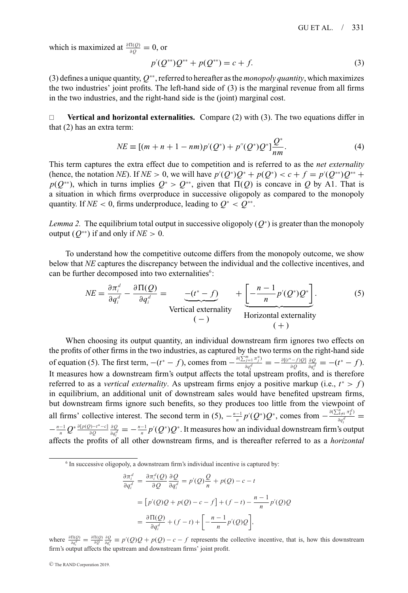which is maximized at  $\frac{\partial \Pi(Q)}{\partial Q} = 0$ , or

$$
p'(Q^{**})Q^{**} + p(Q^{**}) = c + f.
$$
\n(3)

(3) defines a unique quantity, *Q*∗∗, referred to hereafter as the *monopoly quantity*, which maximizes the two industries' joint profits. The left-hand side of (3) is the marginal revenue from all firms in the two industries, and the right-hand side is the (joint) marginal cost.

□ **Vertical and horizontal externalities.** Compare (2) with (3). The two equations differ in that (2) has an extra term:

$$
NE \equiv [(m + n + 1 - nm)p'(Q^*) + p''(Q^*)Q^*]\frac{Q^*}{nm}.
$$
\n(4)

This term captures the extra effect due to competition and is referred to as the *net externality* (hence, the notation *NE*). If *NE* > 0, we will have  $p'(Q^*)Q^* + p(Q^*) < c + f = p'(Q^{**})Q^{**} +$  $p(Q^{**})$ , which in turns implies  $Q^* > Q^{**}$ , given that  $\Pi(Q)$  is concave in *Q* by A1. That is a situation in which firms overproduce in successive oligopoly as compared to the monopoly quantity. If *NE* < 0, firms underproduce, leading to  $Q^*$  <  $Q^{**}$ .

*Lemma 2.* The equilibrium total output in successive oligopoly  $(Q^*)$  is greater than the monopoly output  $(Q^{**})$  if and only if  $NE > 0$ .

To understand how the competitive outcome differs from the monopoly outcome, we show below that *NE* captures the discrepancy between the individual and the collective incentives, and can be further decomposed into two externalities<sup>6</sup>:

$$
NE = \frac{\partial \pi_i^d}{\partial q_i^d} - \frac{\partial \Pi(Q)}{\partial q_i^d} = \underbrace{-(t^* - f)}_{\text{Vertical externality}} + \underbrace{\left[-\frac{n-1}{n}p'(Q^*)Q^*\right]}_{\text{Horizontal externality}}.
$$
 (5)

When choosing its output quantity, an individual downstream firm ignores two effects on the profits of other firms in the two industries, as captured by the two terms on the right-hand side of equation (5). The first term,  $-(t^* - f)$ , comes from  $-\frac{\partial (\sum_{j=1}^m \pi_j^u)}{\partial x_i d}$  $\frac{\partial}{\partial q_i^d} = -\frac{\partial [(t^*-f)Q]}{\partial Q} \frac{\partial Q}{\partial q_i^d} = -(t^*-f).$ It measures how a downstream firm's output affects the total upstream profits, and is therefore referred to as a *vertical externality*. As upstream firms enjoy a positive markup (i.e.,  $t^* > f$ ) in equilibrium, an additional unit of downstream sales would have benefited upstream firms, but downstream firms ignore such benefits, so they produces too little from the viewpoint of all firms' collective interest. The second term in (5),  $-\frac{n-1}{n}p'(Q^*)Q^*$ , comes from  $-\frac{\partial(\sum_{i\neq i}^n \pi_k^d)}{\partial q_i^d}$  $-\frac{n-1}{n}Q^*\frac{\partial[p(Q)-t^*-c]}{\partial Q}\frac{\partial Q}{\partial q_i^d}=-\frac{n-1}{n}p'(Q^*)Q^*$ . It measures how an individual downstream firm's output affects the profits of all other downstream firms, and is thereafter referred to as a *horizontal*

 $6$  In successive oligopoly, a downstream firm's individual incentive is captured by:

$$
\frac{\partial \pi_i^d}{\partial q_i^d} = \frac{\partial \pi_i^d(Q)}{\partial Q} \frac{\partial Q}{\partial q_i^d} = p'(Q)\frac{Q}{n} + p(Q) - c - t
$$
  

$$
= \left[ p'(Q)Q + p(Q) - c - f \right] + (f - t) - \frac{n - 1}{n}p'(Q)Q
$$
  

$$
= \frac{\partial \Pi(Q)}{\partial q_i^d} + (f - t) + \left[ -\frac{n - 1}{n}p'(Q)Q \right],
$$

where  $\frac{\partial \Pi(Q)}{\partial q_i^d} = \frac{\partial \Pi(Q)}{\partial Q} \frac{\partial Q}{\partial q_i^d} \equiv p'(Q)Q + p(Q) - c - f$  represents the collective incentive, that is, how this downstream firm's output affects the upstream and downstream firms' joint profit.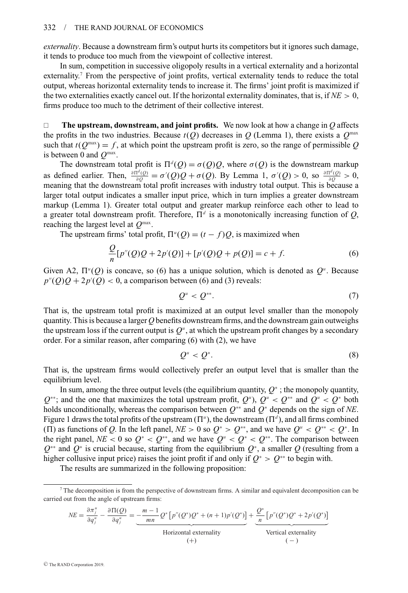*externality*. Because a downstream firm's output hurts its competitors but it ignores such damage, it tends to produce too much from the viewpoint of collective interest.

In sum, competition in successive oligopoly results in a vertical externality and a horizontal externality.7 From the perspective of joint profits, vertical externality tends to reduce the total output, whereas horizontal externality tends to increase it. The firms' joint profit is maximized if the two externalities exactly cancel out. If the horizontal externality dominates, that is, if  $NE > 0$ , firms produce too much to the detriment of their collective interest.

 $\Box$  **The upstream, downstream, and joint profits.** We now look at how a change in *Q* affects the profits in the two industries. Because  $t(Q)$  decreases in *Q* (Lemma 1), there exists a  $Q^{\text{max}}$ such that  $t(Q^{\text{max}}) = f$ , at which point the upstream profit is zero, so the range of permissible *Q* is between 0 and *Q*max.

The downstream total profit is  $\Pi^d(Q) = \sigma(Q)Q$ , where  $\sigma(Q)$  is the downstream markup as defined earlier. Then,  $\frac{\partial \Pi^d(Q)}{\partial Q} = \sigma'(Q)Q + \sigma(Q)$ . By Lemma 1,  $\sigma'(Q) > 0$ , so  $\frac{\partial \Pi^d(Q)}{\partial Q} > 0$ , meaning that the downstream total profit increases with industry total output. This is because a larger total output indicates a smaller input price, which in turn implies a greater downstream markup (Lemma 1). Greater total output and greater markup reinforce each other to lead to a greater total downstream profit. Therefore,  $\Pi^d$  is a monotonically increasing function of *Q*, reaching the largest level at *Q*max.

The upstream firms' total profit,  $\Pi^u(Q) = (t - f)Q$ , is maximized when

$$
\frac{Q}{n}[p''(Q)Q + 2p'(Q)] + [p'(Q)Q + p(Q)] = c + f.
$$
\n(6)

Given A2,  $\Pi^u(Q)$  is concave, so (6) has a unique solution, which is denoted as  $Q^u$ . Because  $p''(Q)Q + 2p'(Q) < 0$ , a comparison between (6) and (3) reveals:

$$
Q^u < Q^{**}.\tag{7}
$$

That is, the upstream total profit is maximized at an output level smaller than the monopoly quantity. This is because a larger *Q* benefits downstream firms, and the downstream gain outweighs the upstream loss if the current output is  $Q^u$ , at which the upstream profit changes by a secondary order. For a similar reason, after comparing (6) with (2), we have

$$
Q^u < Q^*.\tag{8}
$$

That is, the upstream firms would collectively prefer an output level that is smaller than the equilibrium level.

In sum, among the three output levels (the equilibrium quantity, *Q*<sup>∗</sup> ; the monopoly quantity,  $Q^{**}$ ; and the one that maximizes the total upstream profit,  $Q^u$ ,  $Q^* \leq Q^{**}$  and  $Q^u \leq Q^*$  both holds unconditionally, whereas the comparison between *Q*∗∗ and *Q*<sup>∗</sup> depends on the sign of *NE*. Figure 1 draws the total profits of the upstream  $(\Pi^u)$ , the downstream  $(\Pi^d)$ , and all firms combined ( $\Pi$ ) as functions of *Q*. In the left panel,  $N_E > 0$  so  $Q^* > Q^{**}$ , and we have  $Q^u < Q^{**} < Q^*$ . In the right panel, *NE* < 0 so  $Q^* < Q^{**}$ , and we have  $Q^u < Q^* < Q^{**}$ . The comparison between *Q*∗∗ and *Q*<sup>∗</sup> is crucial because, starting from the equilibrium *Q*<sup>∗</sup>, a smaller *Q* (resulting from a higher collusive input price) raises the joint profit if and only if  $Q^* > Q^{**}$  to begin with.

The results are summarized in the following proposition:

$$
NE = \frac{\partial \pi_j^u}{\partial q_j^u} - \frac{\partial \Pi(Q)}{\partial q_j^u} = \underbrace{-\frac{m-1}{mn} Q^* \left[ p''(Q^*)Q^* + (n+1)p'(Q^*) \right]}_{\text{Horizontal externally}} + \underbrace{\frac{Q^*}{n} \left[ p''(Q^*)Q^* + 2p'(Q^*) \right]}_{\text{Vertical externally}}
$$
\n
$$
\qquad \qquad (+)
$$

<sup>7</sup> The decomposition is from the perspective of downstream firms. A similar and equivalent decomposition can be carried out from the angle of upstream firms: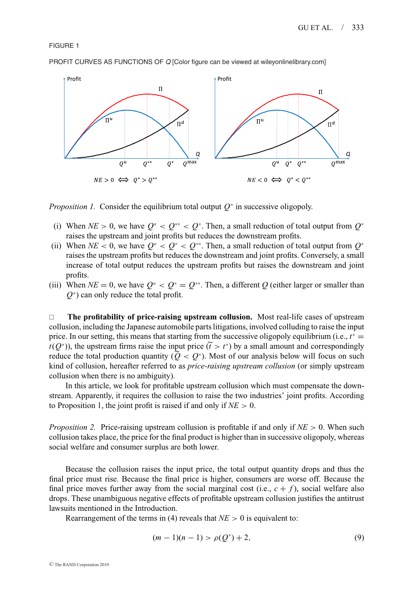FIGURE 1

PROFIT CURVES AS FUNCTIONS OF *Q* [Color figure can be viewed at wileyonlinelibrary.com]



*Proposition 1.* Consider the equilibrium total output  $Q^*$  in successive oligopoly.

- (i) When  $NE > 0$ , we have  $Q^u < Q^{**} < Q^*$ . Then, a small reduction of total output from  $Q^*$ raises the upstream and joint profits but reduces the downstream profits.
- (ii) When  $NE < 0$ , we have  $Q^u < Q^* < Q^{**}$ . Then, a small reduction of total output from  $Q^*$ raises the upstream profits but reduces the downstream and joint profits. Conversely, a small increase of total output reduces the upstream profits but raises the downstream and joint profits.
- (iii) When  $NE = 0$ , we have  $Q^u < Q^* = Q^{**}$ . Then, a different Q (either larger or smaller than *Q*<sup>∗</sup> ) can only reduce the total profit.

□ The profitability of price-raising upstream collusion. Most real-life cases of upstream collusion, including the Japanese automobile parts litigations, involved colluding to raise the input price. In our setting, this means that starting from the successive oligopoly equilibrium (i.e.,  $t^*$  =  $t(Q^*)$ ), the upstream firms raise the input price  $(\tilde{t} > t^*)$  by a small amount and correspondingly reduce the total production quantity ( $Q < Q^*$ ). Most of our analysis below will focus on such kind of collusion, hereafter referred to as *price-raising upstream collusion* (or simply upstream collusion when there is no ambiguity).

In this article, we look for profitable upstream collusion which must compensate the downstream. Apparently, it requires the collusion to raise the two industries' joint profits. According to Proposition 1, the joint profit is raised if and only if *NE* > 0.

*Proposition 2.* Price-raising upstream collusion is profitable if and only if *NE* > 0. When such collusion takes place, the price for the final product is higher than in successive oligopoly, whereas social welfare and consumer surplus are both lower.

Because the collusion raises the input price, the total output quantity drops and thus the final price must rise. Because the final price is higher, consumers are worse off. Because the final price moves further away from the social marginal cost (i.e.,  $c + f$ ), social welfare also drops. These unambiguous negative effects of profitable upstream collusion justifies the antitrust lawsuits mentioned in the Introduction.

Rearrangement of the terms in (4) reveals that  $NE > 0$  is equivalent to:

$$
(m-1)(n-1) > \rho(Q^*) + 2,
$$
\n(9)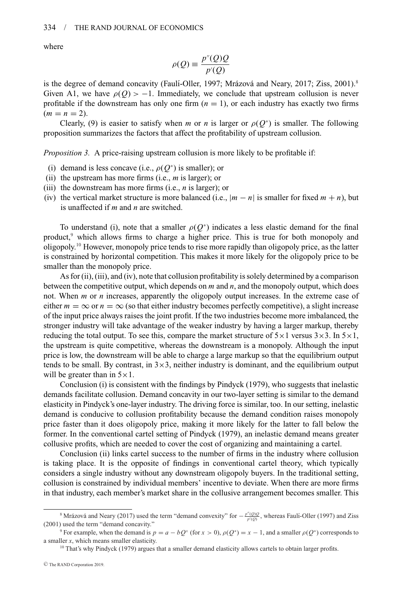where

$$
\rho(Q) \equiv \frac{p''(Q)Q}{p'(Q)}
$$

is the degree of demand concavity (Faulí-Oller, 1997; Mrázová and Neary, 2017; Ziss,  $2001$ ).<sup>8</sup> Given A1, we have  $\rho(Q) > -1$ . Immediately, we conclude that upstream collusion is never profitable if the downstream has only one firm  $(n = 1)$ , or each industry has exactly two firms  $(m = n = 2).$ 

Clearly, (9) is easier to satisfy when *m* or *n* is larger or  $\rho(Q^*)$  is smaller. The following proposition summarizes the factors that affect the profitability of upstream collusion.

*Proposition 3.* A price-raising upstream collusion is more likely to be profitable if:

- (i) demand is less concave (i.e.,  $\rho(Q^*)$  is smaller); or
- (ii) the upstream has more firms (i.e., *m* is larger); or
- (iii) the downstream has more firms (i.e., *n* is larger); or
- (iv) the vertical market structure is more balanced (i.e.,  $|m n|$  is smaller for fixed  $m + n$ ), but is unaffected if *m* and *n* are switched.

To understand (i), note that a smaller  $\rho(Q^*)$  indicates a less elastic demand for the final product,<sup>9</sup> which allows firms to charge a higher price. This is true for both monopoly and oligopoly.10 However, monopoly price tends to rise more rapidly than oligopoly price, as the latter is constrained by horizontal competition. This makes it more likely for the oligopoly price to be smaller than the monopoly price.

As for (ii), (iii), and (iv), note that collusion profitability is solely determined by a comparison between the competitive output, which depends on *m* and *n*, and the monopoly output, which does not. When *m* or *n* increases, apparently the oligopoly output increases. In the extreme case of either  $m = \infty$  or  $n = \infty$  (so that either industry becomes perfectly competitive), a slight increase of the input price always raises the joint profit. If the two industries become more imbalanced, the stronger industry will take advantage of the weaker industry by having a larger markup, thereby reducing the total output. To see this, compare the market structure of  $5 \times 1$  versus  $3 \times 3$ . In  $5 \times 1$ , the upstream is quite competitive, whereas the downstream is a monopoly. Although the input price is low, the downstream will be able to charge a large markup so that the equilibrium output tends to be small. By contrast, in  $3\times3$ , neither industry is dominant, and the equilibrium output will be greater than in  $5 \times 1$ .

Conclusion (i) is consistent with the findings by Pindyck (1979), who suggests that inelastic demands facilitate collusion. Demand concavity in our two-layer setting is similar to the demand elasticity in Pindyck's one-layer industry. The driving force is similar, too. In our setting, inelastic demand is conducive to collusion profitability because the demand condition raises monopoly price faster than it does oligopoly price, making it more likely for the latter to fall below the former. In the conventional cartel setting of Pindyck (1979), an inelastic demand means greater collusive profits, which are needed to cover the cost of organizing and maintaining a cartel.

Conclusion (ii) links cartel success to the number of firms in the industry where collusion is taking place. It is the opposite of findings in conventional cartel theory, which typically considers a single industry without any downstream oligopoly buyers. In the traditional setting, collusion is constrained by individual members' incentive to deviate. When there are more firms in that industry, each member's market share in the collusive arrangement becomes smaller. This

<sup>&</sup>lt;sup>8</sup> Mrázová and Neary (2017) used the term "demand convexity" for  $-\frac{p''(Q)Q}{p'(Q)}$ , whereas Faulí-Oller (1997) and Ziss (2001) used the term "demand concavity."

<sup>&</sup>lt;sup>9</sup> For example, when the demand is  $p = a - bQ^x$  (for  $x > 0$ ),  $\rho(Q^*) = x - 1$ , and a smaller  $\rho(Q^*)$  corresponds to a smaller *x*, which means smaller elasticity.

<sup>&</sup>lt;sup>10</sup> That's why Pindyck (1979) argues that a smaller demand elasticity allows cartels to obtain larger profits.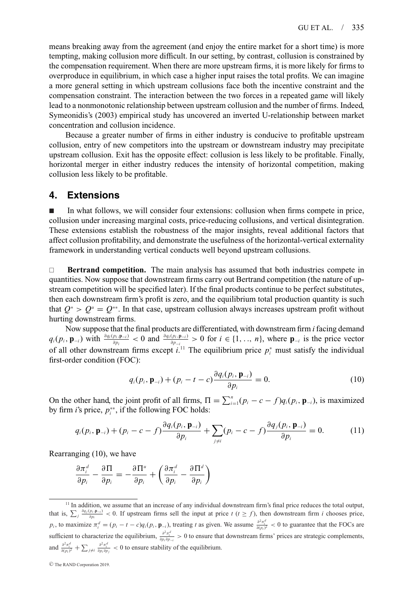means breaking away from the agreement (and enjoy the entire market for a short time) is more tempting, making collusion more difficult. In our setting, by contrast, collusion is constrained by the compensation requirement. When there are more upstream firms, it is more likely for firms to overproduce in equilibrium, in which case a higher input raises the total profits. We can imagine a more general setting in which upstream collusions face both the incentive constraint and the compensation constraint. The interaction between the two forces in a repeated game will likely lead to a nonmonotonic relationship between upstream collusion and the number of firms. Indeed, Symeonidis's (2003) empirical study has uncovered an inverted U-relationship between market concentration and collusion incidence.

Because a greater number of firms in either industry is conducive to profitable upstream collusion, entry of new competitors into the upstream or downstream industry may precipitate upstream collusion. Exit has the opposite effect: collusion is less likely to be profitable. Finally, horizontal merger in either industry reduces the intensity of horizontal competition, making collusion less likely to be profitable.

### **4. Extensions**

- In what follows, we will consider four extensions: collusion when firms compete in price, collusion under increasing marginal costs, price-reducing collusions, and vertical disintegration. These extensions establish the robustness of the major insights, reveal additional factors that affect collusion profitability, and demonstrate the usefulness of the horizontal-vertical externality framework in understanding vertical conducts well beyond upstream collusions.

**Bertrand competition.** The main analysis has assumed that both industries compete in quantities. Now suppose that downstream firms carry out Bertrand competition (the nature of upstream competition will be specified later). If the final products continue to be perfect substitutes, then each downstream firm's profit is zero, and the equilibrium total production quantity is such that  $Q^* > Q^u = Q^{**}$ . In that case, upstream collusion always increases upstream profit without hurting downstream firms.

Now suppose that the final products are differentiated, with downstream firm *i* facing demand  $q_i(p_i, \mathbf{p}_{-i})$  with  $\frac{\partial q_i(p_i, \mathbf{p}_{-i})}{\partial p_i} < 0$  and  $\frac{\partial q_i(p_i, \mathbf{p}_{-i})}{\partial p_{-i}} > 0$  for  $i \in \{1, ..., n\}$ , where  $\mathbf{p}_{-i}$  is the price vector of all other downstream firms except  $i^{11}$ . The equilibrium price  $p_i^*$  must satisfy the individual first-order condition (FOC):

$$
q_i(p_i, \mathbf{p}_{-i}) + (p_i - t - c) \frac{\partial q_i(p_i, \mathbf{p}_{-i})}{\partial p_i} = 0.
$$
 (10)

On the other hand, the joint profit of all firms,  $\Pi = \sum_{i=1}^{n} (p_i - c - f) q_i(p_i, \mathbf{p}_{-i})$ , is maximized by firm *i*'s price,  $p_i^{**}$ , if the following FOC holds:

$$
q_i(p_i, \mathbf{p}_{-i}) + (p_i - c - f) \frac{\partial q_i(p_i, \mathbf{p}_{-i})}{\partial p_i} + \sum_{j \neq i} (p_i - c - f) \frac{\partial q_j(p_i, \mathbf{p}_{-i})}{\partial p_i} = 0.
$$
 (11)

Rearranging (10), we have

$$
\frac{\partial \pi_i^d}{\partial p_i} - \frac{\partial \Pi}{\partial p_i} = -\frac{\partial \Pi^u}{\partial p_i} + \left(\frac{\partial \pi_i^d}{\partial p_i} - \frac{\partial \Pi^d}{\partial p_i}\right)
$$

<sup>&</sup>lt;sup>11</sup> In addition, we assume that an increase of any individual downstream firm's final price reduces the total output, that is,  $\sum_{j} \frac{\partial q_j(p_i, \mathbf{p}_{-j})}{\partial p_i} < 0$ . If upstream firms sell the input at price  $t$  ( $t \geq f$ ), then downstream firm *i* chooses price,  $p_i$ , to maximize  $\pi_i^d = (p_i - t - c)q_i(p_i, \mathbf{p}_{-i})$ , treating t as given. We assume  $\frac{\partial^2 \pi_i^d}{\partial (p_i)^2} < 0$  to guarantee that the FOCs are sufficient to characterize the equilibrium,  $\frac{\partial^2 \pi_i^d}{\partial p_i \partial p_{-i}} > 0$  to ensure that downstream firms' prices are strategic complements, and  $\frac{\partial^2 \pi_i^d}{\partial (p_i)^2} + \sum_{j \neq i} \frac{\partial^2 \pi_i^d}{\partial p_i \partial p_j} < 0$  to ensure stability of the equilibrium.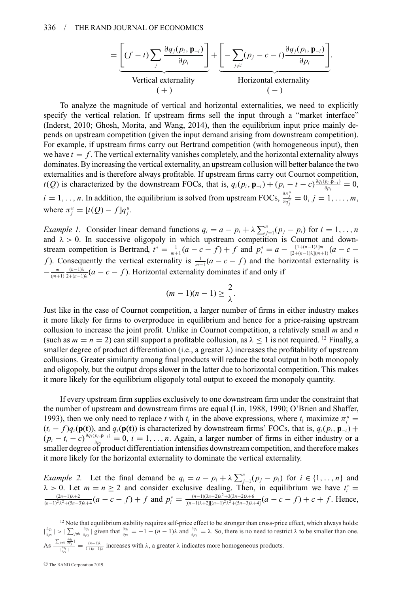$$
= \underbrace{\left[ (f-t) \sum_{j} \frac{\partial q_{j}(p_{i}, \mathbf{p}_{-i})}{\partial p_{i}} \right]}_{\text{Vertical externality}} + \underbrace{\left[ - \sum_{j \neq i} (p_{j} - c - t) \frac{\partial q_{j}(p_{i}, \mathbf{p}_{-i})}{\partial p_{i}} \right]}_{\text{Horizontal externality}}.
$$

To analyze the magnitude of vertical and horizontal externalities, we need to explicitly specify the vertical relation. If upstream firms sell the input through a "market interface" (Inderst, 2010; Ghosh, Morita, and Wang, 2014), then the equilibrium input price mainly depends on upstream competition (given the input demand arising from downstream competition). For example, if upstream firms carry out Bertrand competition (with homogeneous input), then we have  $t = f$ . The vertical externality vanishes completely, and the horizontal externality always dominates. By increasing the vertical externality, an upstream collusion will better balance the two externalities and is therefore always profitable. If upstream firms carry out Cournot competition, *t*(*Q*) is characterized by the downstream FOCs, that is,  $q_i(p_i, \mathbf{p}_{-i}) + (p_i - t - c) \frac{\partial q_i(p_i, \mathbf{p}_{-i})}{\partial p_i} = 0$ ,  $i = 1, \ldots, n$ . In addition, the equilibrium is solved from upstream FOCs,  $\frac{\partial \pi_j^u}{\partial q_j^u} = 0, j = 1, \ldots, m$ , where  $\pi_j^u = [t(Q) - f]q_j^u$ .

*Example 1.* Consider linear demand functions  $q_i = a - p_i + \lambda \sum_{j=1}^n (p_j - p_i)$  for  $i = 1, \ldots, n$ and  $\lambda > 0$ . In successive oligopoly in which upstream competition is Cournot and downstream competition is Bertrand,  $t^* = \frac{1}{m+1}(a-c-f) + f$  and  $p_i^* = a - \frac{[1+(n-1)\lambda]m}{[2+(n-1)\lambda](m+1)}(a-c$ *f*). Consequently the vertical externality is  $\frac{1}{m+1} (a - c - f)$  and the horizontal externality is  $-\frac{m}{(m+1)}\frac{(n-1)\lambda}{2+(n-1)\lambda}(a-c-f)$ . Horizontal externality dominates if and only if

$$
(m-1)(n-1) \geq \frac{2}{\lambda}.
$$

Just like in the case of Cournot competition, a larger number of firms in either industry makes it more likely for firms to overproduce in equilibrium and hence for a price-raising upstream collusion to increase the joint profit. Unlike in Cournot competition, a relatively small *m* and *n* (such as  $m = n = 2$ ) can still support a profitable collusion, as  $\lambda \le 1$  is not required. <sup>12</sup> Finally, a smaller degree of product differentiation (i.e., a greater  $\lambda$ ) increases the profitability of upstream collusions. Greater similarity among final products will reduce the total output in both monopoly and oligopoly, but the output drops slower in the latter due to horizontal competition. This makes it more likely for the equilibrium oligopoly total output to exceed the monopoly quantity.

If every upstream firm supplies exclusively to one downstream firm under the constraint that the number of upstream and downstream firms are equal (Lin, 1988, 1990; O'Brien and Shaffer, 1993), then we only need to replace *t* with  $t_i$  in the above expressions, where  $t_i$  maximize  $\pi_i^u$  =  $(t_i - f)q_i(\mathbf{p}(\mathbf{t}))$ , and  $q_i(\mathbf{p}(\mathbf{t}))$  is characterized by downstream firms' FOCs, that is,  $q_i(p_i, \mathbf{p}_{-i})$  +  $(p_i - t_i - c) \frac{\partial q_i(p_i, p_{-i})}{\partial p_i} = 0$ ,  $i = 1, ..., n$ . Again, a larger number of firms in either industry or a smaller degree of product differentiation intensifies downstream competition, and therefore makes it more likely for the horizontal externality to dominate the vertical externality.

*Example 2.* Let the final demand be  $q_i = a - p_i + \lambda \sum_{j=1}^{n} (p_j - p_i)$  for  $i \in \{1, ..., n\}$  and  $\lambda > 0$ . Let  $m = n \ge 2$  and consider exclusive dealing. Then, in equilibrium we have  $t_i^* = \frac{(2n-1)\lambda+2}{(n-1)^2\lambda^2+(5n-3)\lambda+4}(a-c-f)+f$  and  $p_i^* = \frac{(n-1)(3n-2)\lambda^2+3(3n-2)\lambda+6}{[(n-1)\lambda+2][(n-1)^2\lambda^2+(5n-3)\lambda+4]}(a-c-f)+c+f$ . Hence,

<sup>&</sup>lt;sup>12</sup> Note that equilibrium stability requires self-price effect to be stronger than cross-price effect, which always holds:  $|\frac{\partial q_i}{\partial p_i}| > |\sum_{j\neq i} \frac{\partial q_i}{\partial p_j}|$  given that  $\frac{\partial q_i}{\partial p_i} = -1 - (n-1)\lambda$  and  $\frac{\partial q_i}{\partial p_j} = \lambda$ . So, there is no need to restrict  $\lambda$  to be smaller than one. As  $\frac{\sum_{j \neq i} \frac{\partial q_j}{\partial p_j}}{\frac{1}{\partial q_j}} = \frac{(n-1)\lambda}{1+(n-1)\lambda}$  increases with  $\lambda$ , a greater  $\lambda$  indicates more homogeneous products.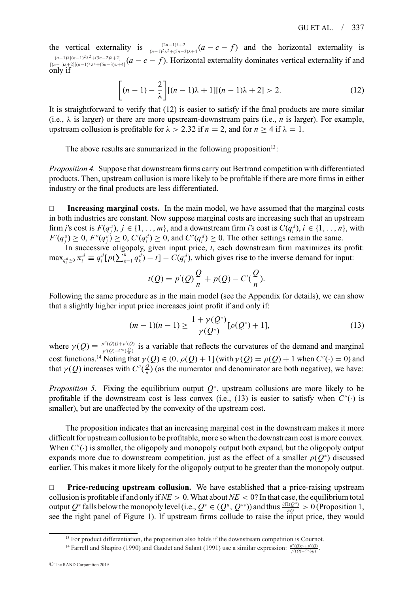the vertical externality is  $\frac{(2n-1)\lambda+2}{(n-1)^2\lambda^2+(5n-3)\lambda+4}$  (*a* − *c* − *f*) and the horizontal externality is (*n*−1)λ[(*n*−1)2λ2+(3*n*−2)λ+2] [(*n*−1)λ+2][(*n*−1)2λ2+(5*n*−3)λ+4] (*a* − *c* − *f* ). Horizontal externality dominates vertical externality if and only if

$$
\left[ (n-1) - \frac{2}{\lambda} \right] [(n-1)\lambda + 1] [(n-1)\lambda + 2] > 2.
$$
 (12)

It is straightforward to verify that (12) is easier to satisfy if the final products are more similar (i.e.,  $\lambda$  is larger) or there are more upstream-downstream pairs (i.e., *n* is larger). For example, upstream collusion is profitable for  $\lambda > 2.32$  if  $n = 2$ , and for  $n \ge 4$  if  $\lambda = 1$ .

The above results are summarized in the following proposition $13$ :

*Proposition 4.* Suppose that downstream firms carry out Bertrand competition with differentiated products. Then, upstream collusion is more likely to be profitable if there are more firms in either industry or the final products are less differentiated.

 **Increasing marginal costs.** In the main model, we have assumed that the marginal costs in both industries are constant. Now suppose marginal costs are increasing such that an upstream firm *j*'s cost is  $F(q_j^u)$ ,  $j \in \{1, ..., m\}$ , and a downstream firm *i*'s cost is  $C(q_i^d)$ ,  $i \in \{1, ..., n\}$ , with  $F'(q_j^u) \ge 0$ ,  $F''(q_j^u) \ge 0$ ,  $C'(q_i^d) \ge 0$ , and  $C''(q_i^d) \ge 0$ . The other settings remain the same.

In successive oligopoly, given input price, *t*, each downstream firm maximizes its profit:  $\max_{q_i^d \ge 0} \pi_i^d \equiv q_i^d [p(\sum_{k=1}^n q_k^d) - t] - C(q_i^d)$ , which gives rise to the inverse demand for input:

$$
t(Q) = p'(Q)\frac{Q}{n} + p(Q) - C'(\frac{Q}{n}).
$$

Following the same procedure as in the main model (see the Appendix for details), we can show that a slightly higher input price increases joint profit if and only if:

$$
(m-1)(n-1) \ge \frac{1 + \gamma(Q^*)}{\gamma(Q^*)} [\rho(Q^*) + 1],
$$
\n(13)

where  $\gamma(Q) \equiv \frac{p''(Q)Q+p'(Q)}{p'(Q)-C''(\frac{Q}{n})}$  is a variable that reflects the curvatures of the demand and marginal cost functions.<sup>14</sup> Noting that  $\gamma(Q) \in (0, \rho(Q) + 1]$  (with  $\gamma(Q) = \rho(Q) + 1$  when  $C''(\cdot) = 0$ ) and that  $\gamma(Q)$  increases with  $C''(\frac{Q}{n})$  (as the numerator and denominator are both negative), we have:

*Proposition 5.* Fixing the equilibrium output  $Q^*$ , upstream collusions are more likely to be profitable if the downstream cost is less convex (i.e., (13) is easier to satisfy when  $C''(\cdot)$  is smaller), but are unaffected by the convexity of the upstream cost.

The proposition indicates that an increasing marginal cost in the downstream makes it more difficult for upstream collusion to be profitable, more so when the downstream cost is more convex. When  $C''(·)$  is smaller, the oligopoly and monopoly output both expand, but the oligopoly output expands more due to downstream competition, just as the effect of a smaller  $\rho(Q^*)$  discussed earlier. This makes it more likely for the oligopoly output to be greater than the monopoly output.

**Price-reducing upstream collusion.** We have established that a price-raising upstream collusion is profitable if and only if*NE* > 0. What about*NE* < 0? In that case, the equilibrium total output  $Q^*$  falls below the monopoly level (i.e.,  $Q^* \in (Q^u, Q^{**})$ ) and thus  $\frac{\partial \Pi(Q^*)}{\partial Q} > 0$  (Proposition 1, see the right panel of Figure 1). If upstream firms collude to raise the input price, they would

<sup>&</sup>lt;sup>13</sup> For product differentiation, the proposition also holds if the downstream competition is Cournot.

<sup>&</sup>lt;sup>14</sup> Farrell and Shapiro (1990) and Gaudet and Salant (1991) use a similar expression:  $\frac{p''(Q)q_i+p'(Q)}{p'(Q)-C''(q_i)}$ .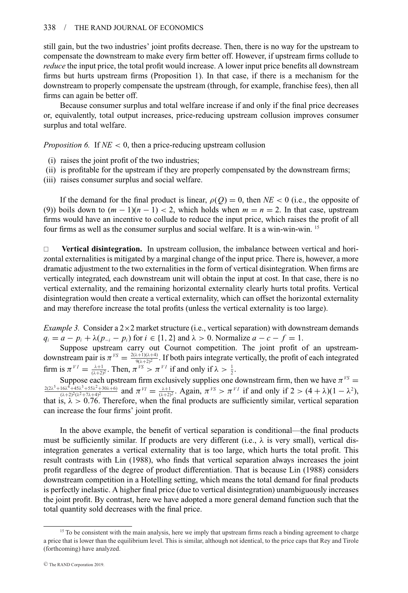still gain, but the two industries' joint profits decrease. Then, there is no way for the upstream to compensate the downstream to make every firm better off. However, if upstream firms collude to *reduce* the input price, the total profit would increase. A lower input price benefits all downstream firms but hurts upstream firms (Proposition 1). In that case, if there is a mechanism for the downstream to properly compensate the upstream (through, for example, franchise fees), then all firms can again be better off.

Because consumer surplus and total welfare increase if and only if the final price decreases or, equivalently, total output increases, price-reducing upstream collusion improves consumer surplus and total welfare.

*Proposition 6.* If *NE* < 0, then a price-reducing upstream collusion

- (i) raises the joint profit of the two industries;
- (ii) is profitable for the upstream if they are properly compensated by the downstream firms;

(iii) raises consumer surplus and social welfare.

If the demand for the final product is linear,  $\rho(Q) = 0$ , then  $NE < 0$  (i.e., the opposite of (9)) boils down to  $(m - 1)(n - 1) < 2$ , which holds when  $m = n = 2$ . In that case, upstream firms would have an incentive to collude to reduce the input price, which raises the profit of all four firms as well as the consumer surplus and social welfare. It is a win-win-win. <sup>15</sup>

 **Vertical disintegration.** In upstream collusion, the imbalance between vertical and horizontal externalities is mitigated by a marginal change of the input price. There is, however, a more dramatic adjustment to the two externalities in the form of vertical disintegration. When firms are vertically integrated, each downstream unit will obtain the input at cost. In that case, there is no vertical externality, and the remaining horizontal externality clearly hurts total profits. Vertical disintegration would then create a vertical externality, which can offset the horizontal externality and may therefore increase the total profits (unless the vertical externality is too large).

*Example 3.* Consider a  $2 \times 2$  market structure (i.e., vertical separation) with downstream demands  $q_i = a - p_i + \lambda (p_{-i} - p_i)$  for  $i \in \{1, 2\}$  and  $\lambda > 0$ . Normalize  $a - c - f = 1$ .

Suppose upstream carry out Cournot competition. The joint profit of an upstreamdownstream pair is  $\pi^{VS} = \frac{2(\lambda+1)(\lambda+4)}{9(\lambda+2)^2}$ . If both pairs integrate vertically, the profit of each integrated firm is  $\pi^{VI} = \frac{\lambda+1}{(\lambda+2)^2}$ . Then,  $\pi^{VS} > \pi^{VI}$  if and only if  $\lambda > \frac{1}{2}$ .

Suppose each upstream firm exclusively supplies one downstream firm, then we have  $\pi^{VS}$  $\frac{2(2\lambda^5 + 16\lambda^4 + 45\lambda^3 + 55\lambda^2 + 30\lambda + 6)}{(\lambda + 2)^2(\lambda^2 + 7\lambda + 4)^2}$  and  $\pi^{VI} = \frac{\lambda + 1}{(\lambda + 2)^2}$ . Again,  $\pi^{VS} > \pi^{VI}$  if and only if  $2 > (4 + \lambda)(1 - \lambda^2)$ , that is,  $\lambda > 0.76$ . Therefore, when the final products are sufficiently similar, vertical separation can increase the four firms' joint profit.

In the above example, the benefit of vertical separation is conditional—the final products must be sufficiently similar. If products are very different (i.e.,  $\lambda$  is very small), vertical disintegration generates a vertical externality that is too large, which hurts the total profit. This result contrasts with Lin (1988), who finds that vertical separation always increases the joint profit regardless of the degree of product differentiation. That is because Lin (1988) considers downstream competition in a Hotelling setting, which means the total demand for final products is perfectly inelastic. A higher final price (due to vertical disintegration) unambiguously increases the joint profit. By contrast, here we have adopted a more general demand function such that the total quantity sold decreases with the final price.

<sup>&</sup>lt;sup>15</sup> To be consistent with the main analysis, here we imply that upstream firms reach a binding agreement to charge a price that is lower than the equilibrium level. This is similar, although not identical, to the price caps that Rey and Tirole (forthcoming) have analyzed.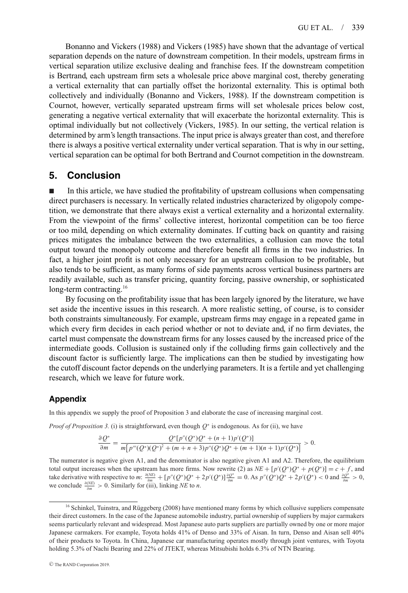Bonanno and Vickers (1988) and Vickers (1985) have shown that the advantage of vertical separation depends on the nature of downstream competition. In their models, upstream firms in vertical separation utilize exclusive dealing and franchise fees. If the downstream competition is Bertrand, each upstream firm sets a wholesale price above marginal cost, thereby generating a vertical externality that can partially offset the horizontal externality. This is optimal both collectively and individually (Bonanno and Vickers, 1988). If the downstream competition is Cournot, however, vertically separated upstream firms will set wholesale prices below cost, generating a negative vertical externality that will exacerbate the horizontal externality. This is optimal individually but not collectively (Vickers, 1985). In our setting, the vertical relation is determined by arm's length transactions. The input price is always greater than cost, and therefore there is always a positive vertical externality under vertical separation. That is why in our setting, vertical separation can be optimal for both Bertrand and Cournot competition in the downstream.

### **5. Conclusion**

- In this article, we have studied the profitability of upstream collusions when compensating direct purchasers is necessary. In vertically related industries characterized by oligopoly competition, we demonstrate that there always exist a vertical externality and a horizontal externality. From the viewpoint of the firms' collective interest, horizontal competition can be too fierce or too mild, depending on which externality dominates. If cutting back on quantity and raising prices mitigates the imbalance between the two externalities, a collusion can move the total output toward the monopoly outcome and therefore benefit all firms in the two industries. In fact, a higher joint profit is not only necessary for an upstream collusion to be profitable, but also tends to be sufficient, as many forms of side payments across vertical business partners are readily available, such as transfer pricing, quantity forcing, passive ownership, or sophisticated long-term contracting.<sup>16</sup>

By focusing on the profitability issue that has been largely ignored by the literature, we have set aside the incentive issues in this research. A more realistic setting, of course, is to consider both constraints simultaneously. For example, upstream firms may engage in a repeated game in which every firm decides in each period whether or not to deviate and, if no firm deviates, the cartel must compensate the downstream firms for any losses caused by the increased price of the intermediate goods. Collusion is sustained only if the colluding firms gain collectively and the discount factor is sufficiently large. The implications can then be studied by investigating how the cutoff discount factor depends on the underlying parameters. It is a fertile and yet challenging research, which we leave for future work.

#### **Appendix**

In this appendix we supply the proof of Proposition 3 and elaborate the case of increasing marginal cost.

*Proof of Proposition 3.* (i) is straightforward, even though *Q*<sup>∗</sup> is endogenous. As for (ii), we have

$$
\frac{\partial Q^*}{\partial m} = \frac{Q^*[p''(Q^*)Q^* + (n+1)p'(Q^*)]}{m[p'''(Q^*)(Q^*)^2 + (m+n+3)p''(Q^*)Q^* + (m+1)(n+1)p'(Q^*)]} > 0.
$$

The numerator is negative given A1, and the denominator is also negative given A1 and A2. Therefore, the equilibrium total output increases when the upstream has more firms. Now rewrite (2) as  $NE + [p'(Q^*)Q^* + p(Q^*)] = c + f$ , and take derivative with respective to m:  $\frac{\partial (NE)}{\partial m} + [p''(Q^*)Q^* + 2p'(Q^*)] \frac{\partial Q^*}{\partial m} = 0$ . As  $p''(Q^*)Q^* + 2p'(Q^*) < 0$  and  $\frac{\partial Q^*}{\partial m} > 0$ , we conclude  $\frac{\partial (NE)}{\partial m} > 0$ . Similarly for (iii), linking *NE* to *n*.

<sup>&</sup>lt;sup>16</sup> Schinkel, Tuinstra, and Rüggeberg (2008) have mentioned many forms by which collusive suppliers compensate their direct customers. In the case of the Japanese automobile industry, partial ownership of suppliers by major carmakers seems particularly relevant and widespread. Most Japanese auto parts suppliers are partially owned by one or more major Japanese carmakers. For example, Toyota holds 41% of Denso and 33% of Aisan. In turn, Denso and Aisan sell 40% of their products to Toyota. In China, Japanese car manufacturing operates mostly through joint ventures, with Toyota holding 5.3% of Nachi Bearing and 22% of JTEKT, whereas Mitsubishi holds 6.3% of NTN Bearing.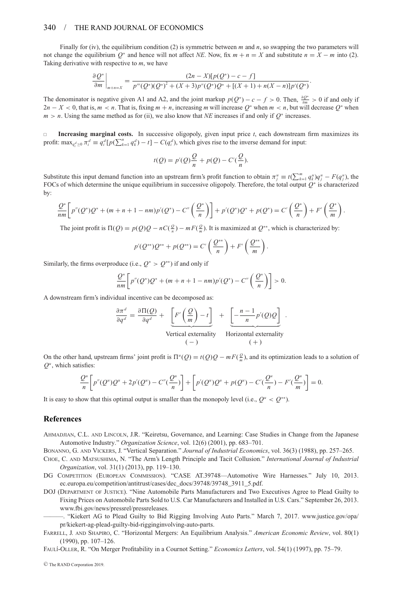#### 340 / THE RAND JOURNAL OF ECONOMICS

Finally for (iv), the equilibrium condition (2) is symmetric between *m* and *n*, so swapping the two parameters will not change the equilibrium  $Q^*$  and hence will not affect *NE*. Now, fix  $m + n = X$  and substitute  $n = X - m$  into (2). Taking derivative with respective to *m*, we have

$$
\frac{\partial Q^*}{\partial m}\bigg|_{m+n=X} = \frac{(2n-X)[p(Q^*)-c-f]}{p'''(Q^*)(Q^*)^2 + (X+3)p''(Q^*)Q^* + [(X+1)+n(X-n)]p'(Q^*)}.
$$

The denominator is negative given A1 and A2, and the joint markup  $p(Q^*)-c-f > 0$ . Then,  $\frac{\partial Q^*}{\partial m} > 0$  if and only if  $2n - X < 0$ , that is,  $m < n$ . That is, fixing  $m + n$ , increasing *m* will increase  $Q^*$  when  $m < n$ , but will decrease  $Q^*$  when *m* > *n*. Using the same method as for (ii), we also know that *NE* increases if and only if *Q*<sup>∗</sup> increases.

 **Increasing marginal costs.** In successive oligopoly, given input price *t*, each downstream firm maximizes its profit:  $\max_{q_i^d \ge 0} \pi_i^d \equiv q_i^d [p(\sum_{k=1}^n q_k^d) - t] - C(q_i^d)$ , which gives rise to the inverse demand for input:

$$
t(Q) = p'(Q)\frac{Q}{n} + p(Q) - C'(\frac{Q}{n}).
$$

Substitute this input demand function into an upstream firm's profit function to obtain  $\pi_j^u \equiv t(\sum_{k=1}^m q_k^u)q_j^u - F(q_j^u)$ , the FOCs of which determine the unique equilibrium in successive oligopoly. Therefore, the total output *Q*<sup>∗</sup> is characterized by:

$$
\frac{Q^*}{nm}\bigg[p''(Q^*)Q^* + (m+n+1-nm)p'(Q^*) - C''\left(\frac{Q^*}{n}\right)\bigg] + p'(Q^*)Q^* + p(Q^*) = C'\left(\frac{Q^*}{n}\right) + F'\left(\frac{Q^*}{m}\right).
$$

The joint profit is  $\Pi(Q) = p(Q)Q - nC(\frac{Q}{n}) - mF(\frac{Q}{n})$ . It is maximized at  $Q^{**}$ , which is characterized by:

$$
p'(Q^{**})Q^{**} + p(Q^{**}) = C'\left(\frac{Q^{**}}{n}\right) + F'\left(\frac{Q^{**}}{m}\right).
$$

Similarly, the firms overproduce (i.e.,  $Q^* > Q^{**}$ ) if and only if

$$
\frac{Q^*}{nm}\bigg[p''(Q^*)Q^* + (m+n+1-nm)p'(Q^*) - C''\left(\frac{Q^*}{n}\right)\bigg] > 0.
$$

A downstream firm's individual incentive can be decomposed as:

$$
\frac{\partial \pi^d}{\partial q^d} = \frac{\partial \Pi(Q)}{\partial q^d} + \underbrace{\left[F'\left(\frac{Q}{m}\right) - t\right]}_{\text{Vertical externality}} + \underbrace{\left[-\frac{n-1}{n}p'(Q)Q\right]}_{\text{Horizontal externality}}.
$$

On the other hand, upstream firms' joint profit is  $\Pi^u(Q) = t(Q)Q - mF(\frac{Q}{m})$ , and its optimization leads to a solution of  $Q^u$ , which satisfies:

$$
\frac{Q^u}{n} \bigg[ p''(Q^u)Q^u + 2p'(Q^u) - C''(\frac{Q^u}{n}) \bigg] + \bigg[ p'(Q^u)Q^u + p(Q^u) - C'(\frac{Q^u}{n}) - F'(\frac{Q^u}{m}) \bigg] = 0.
$$

It is easy to show that this optimal output is smaller than the monopoly level (i.e.,  $Q^u < Q^{**}$ ).

#### **References**

AHMADJIAN, C.L. AND LINCOLN, J.R. "Keiretsu, Governance, and Learning: Case Studies in Change from the Japanese Automotive Industry." *Organization Science*, vol. 12(6) (2001), pp. 683–701.

BONANNO, G. AND VICKERS, J. "Vertical Separation." *Journal of Industrial Economics*, vol. 36(3) (1988), pp. 257–265.

- CHOE, C. AND MATSUSHIMA, N. "The Arm's Length Principle and Tacit Collusion." *International Journal of Industrial Organization*, vol. 31(1) (2013), pp. 119–130.
- DG COMPETITION (EUROPEAN COMMISSION). "CASE AT.39748—Automotive Wire Harnesses." July 10, 2013. ec.europa.eu/competition/antitrust/cases/dec\_docs/39748/39748\_3911\_5.pdf.
- DOJ (DEPARTMENT OF JUSTICE). "Nine Automobile Parts Manufacturers and Two Executives Agree to Plead Guilty to Fixing Prices on Automobile Parts Sold to U.S. Car Manufacturers and Installed in U.S. Cars." September 26, 2013. www.fbi.gov/news/pressrel/pressreleases.
	- ———. "Kiekert AG to Plead Guilty to Bid Rigging Involving Auto Parts." March 7, 2017. www.justice.gov/opa/ pr/kiekert-ag-plead-guilty-bid-rigginginvolving-auto-parts.
- FARRELL, J. AND SHAPIRO, C. "Horizontal Mergers: An Equilibrium Analysis." *American Economic Review*, vol. 80(1) (1990), pp. 107–126.

FAUL´I-OLLER, R. "On Merger Profitability in a Cournot Setting." *Economics Letters*, vol. 54(1) (1997), pp. 75–79.